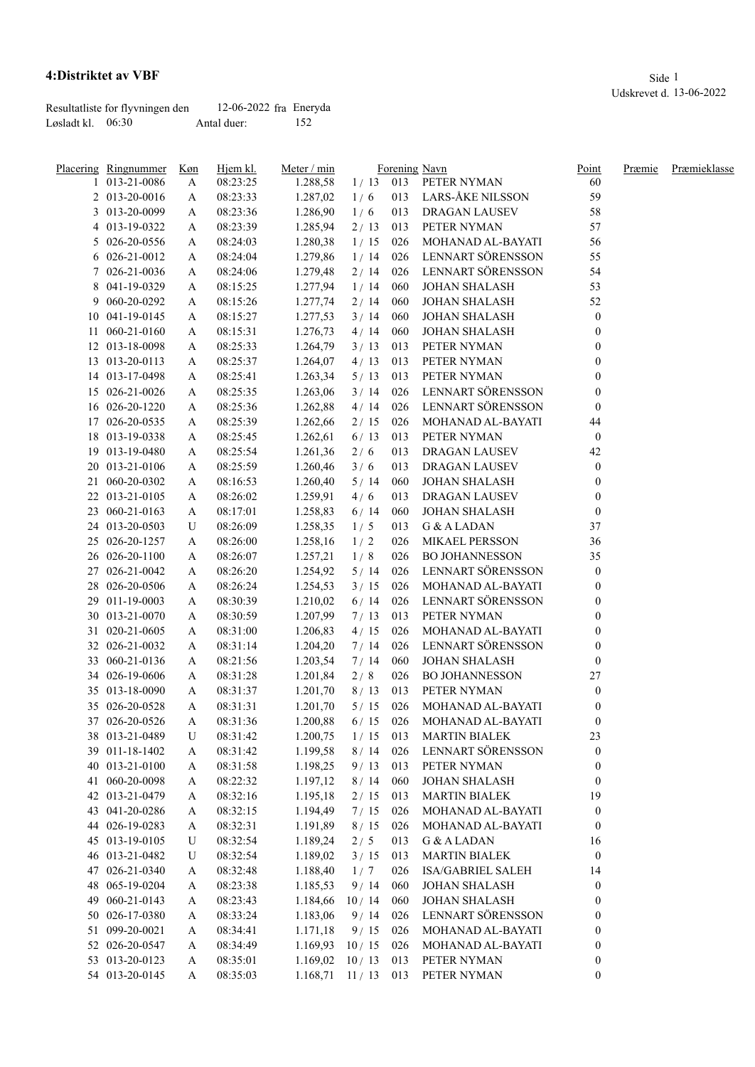## **4:Distriktet av VBF** Side 1

|                   | Resultatliste for flyvningen den | 12-06-2022 fra Eneryda |     |
|-------------------|----------------------------------|------------------------|-----|
| Løsladt kl. 06:30 |                                  | Antal duer:            | 152 |

|    | Placering Ringnummer | Køn | Hjem kl. | Meter / min |            |     | Forening Navn         | Point            | Præmie | Præmieklasse |
|----|----------------------|-----|----------|-------------|------------|-----|-----------------------|------------------|--------|--------------|
|    | 1 013-21-0086        | A   | 08:23:25 | 1.288,58    | $1/13$ 013 |     | PETER NYMAN           | 60               |        |              |
|    | 2 013-20-0016        | A   | 08:23:33 | 1.287,02    | 1/6        | 013 | LARS-ÅKE NILSSON      | 59               |        |              |
|    | 3 013-20-0099        | A   | 08:23:36 | 1.286,90    | 1/6        | 013 | <b>DRAGAN LAUSEV</b>  | 58               |        |              |
|    | 4 013-19-0322        | A   | 08:23:39 | 1.285,94    | 2/13       | 013 | PETER NYMAN           | 57               |        |              |
|    | 5 026-20-0556        | A   | 08:24:03 | 1.280,38    | 1/15       | 026 | MOHANAD AL-BAYATI     | 56               |        |              |
|    | 6 026-21-0012        | A   | 08:24:04 | 1.279,86    | 1/14       | 026 | LENNART SÖRENSSON     | 55               |        |              |
|    | 7 026-21-0036        | A   | 08:24:06 | 1.279,48    | 2/14       | 026 | LENNART SÖRENSSON     | 54               |        |              |
|    | 8 041-19-0329        | A   | 08:15:25 | 1.277,94    | 1/14       | 060 | <b>JOHAN SHALASH</b>  | 53               |        |              |
|    | 9 060-20-0292        | A   | 08:15:26 | 1.277,74    | 2/14       | 060 | <b>JOHAN SHALASH</b>  | 52               |        |              |
|    | 10 041-19-0145       | A   | 08:15:27 | 1.277,53    | 3/14       | 060 | <b>JOHAN SHALASH</b>  | $\boldsymbol{0}$ |        |              |
| 11 | 060-21-0160          | A   | 08:15:31 | 1.276,73    | 4/14       | 060 | <b>JOHAN SHALASH</b>  | $\mathbf{0}$     |        |              |
|    | 12 013-18-0098       | A   | 08:25:33 | 1.264,79    | 3/13       | 013 | PETER NYMAN           | $\mathbf{0}$     |        |              |
|    | 13 013-20-0113       | A   | 08:25:37 | 1.264,07    | 4/13       | 013 | PETER NYMAN           | $\mathbf{0}$     |        |              |
|    | 14 013-17-0498       | A   | 08:25:41 | 1.263,34    | 5/13       | 013 | PETER NYMAN           | $\mathbf{0}$     |        |              |
|    | 15 026-21-0026       | A   | 08:25:35 | 1.263,06    | 3/14       | 026 | LENNART SÖRENSSON     | 0                |        |              |
|    | 16 026-20-1220       | A   | 08:25:36 | 1.262,88    | 4/14       | 026 | LENNART SÖRENSSON     | $\boldsymbol{0}$ |        |              |
|    | 17 026-20-0535       | A   | 08:25:39 | 1.262,66    | 2/15       | 026 | MOHANAD AL-BAYATI     | 44               |        |              |
|    | 18 013-19-0338       | A   | 08:25:45 | 1.262,61    | 6/13       | 013 | PETER NYMAN           | $\boldsymbol{0}$ |        |              |
|    | 19 013-19-0480       | A   | 08:25:54 | 1.261,36    | 2/6        | 013 | DRAGAN LAUSEV         | 42               |        |              |
|    | 20 013-21-0106       | A   | 08:25:59 | 1.260,46    | 3/6        | 013 | DRAGAN LAUSEV         | 0                |        |              |
|    | 21 060-20-0302       | A   | 08:16:53 | 1.260,40    | 5/14       | 060 | <b>JOHAN SHALASH</b>  | 0                |        |              |
|    | 22 013-21-0105       | A   | 08:26:02 | 1.259,91    | 4/6        | 013 | DRAGAN LAUSEV         | 0                |        |              |
|    | 23 060-21-0163       |     | 08:17:01 | 1.258,83    | 6/14       | 060 | <b>JOHAN SHALASH</b>  | $\boldsymbol{0}$ |        |              |
|    |                      | A   | 08:26:09 |             |            |     |                       | 37               |        |              |
|    | 24 013-20-0503       | U   |          | 1.258,35    | 1/5        | 013 | G & A LADAN           |                  |        |              |
|    | 25 026-20-1257       | A   | 08:26:00 | 1.258,16    | 1/2        | 026 | MIKAEL PERSSON        | 36               |        |              |
|    | 26 026-20-1100       | A   | 08:26:07 | 1.257,21    | 1/8        | 026 | <b>BO JOHANNESSON</b> | 35               |        |              |
|    | 27 026-21-0042       | A   | 08:26:20 | 1.254,92    | 5/14       | 026 | LENNART SÖRENSSON     | $\boldsymbol{0}$ |        |              |
|    | 28 026-20-0506       | A   | 08:26:24 | 1.254,53    | 3/15       | 026 | MOHANAD AL-BAYATI     | 0                |        |              |
|    | 29 011-19-0003       | A   | 08:30:39 | 1.210,02    | 6/14       | 026 | LENNART SÖRENSSON     | 0                |        |              |
|    | 30 013-21-0070       | A   | 08:30:59 | 1.207,99    | 7/13       | 013 | PETER NYMAN           | 0                |        |              |
|    | 31 020-21-0605       | A   | 08:31:00 | 1.206,83    | 4/15       | 026 | MOHANAD AL-BAYATI     | 0                |        |              |
|    | 32 026-21-0032       | A   | 08:31:14 | 1.204,20    | 7/14       | 026 | LENNART SÖRENSSON     | $\boldsymbol{0}$ |        |              |
|    | 33 060-21-0136       | A   | 08:21:56 | 1.203,54    | 7/14       | 060 | <b>JOHAN SHALASH</b>  | $\boldsymbol{0}$ |        |              |
|    | 34 026-19-0606       | A   | 08:31:28 | 1.201,84    | 2/8        | 026 | <b>BO JOHANNESSON</b> | 27               |        |              |
|    | 35 013-18-0090       | A   | 08:31:37 | 1.201,70    | 8/13       | 013 | PETER NYMAN           | $\boldsymbol{0}$ |        |              |
|    | 35 026-20-0528       | A   | 08:31:31 | 1.201,70    | 5/15       | 026 | MOHANAD AL-BAYATI     | $\boldsymbol{0}$ |        |              |
|    | 37 026-20-0526       | A   | 08:31:36 | 1.200,88    | 6/15       | 026 | MOHANAD AL-BAYATI     | $\boldsymbol{0}$ |        |              |
|    | 38 013-21-0489       | U   | 08:31:42 | 1.200,75    | 1/15       | 013 | <b>MARTIN BIALEK</b>  | 23               |        |              |
|    | 39 011-18-1402       | A   | 08:31:42 | 1.199,58    | 8/14       | 026 | LENNART SÖRENSSON     | $\boldsymbol{0}$ |        |              |
|    | 40 013-21-0100       | A   | 08:31:58 | 1.198,25    | 9/13       | 013 | PETER NYMAN           | $\boldsymbol{0}$ |        |              |
|    | 41 060-20-0098       | A   | 08:22:32 | 1.197,12    | 8/14       | 060 | <b>JOHAN SHALASH</b>  | $\boldsymbol{0}$ |        |              |
|    | 42 013-21-0479       | A   | 08:32:16 | 1.195,18    | 2/15       | 013 | <b>MARTIN BIALEK</b>  | 19               |        |              |
|    | 43 041-20-0286       | A   | 08:32:15 | 1.194,49    | 7/15       | 026 | MOHANAD AL-BAYATI     | $\boldsymbol{0}$ |        |              |
|    | 44 026-19-0283       | A   | 08:32:31 | 1.191,89    | 8/15       | 026 | MOHANAD AL-BAYATI     | $\boldsymbol{0}$ |        |              |
|    | 45 013-19-0105       | U   | 08:32:54 | 1.189,24    | 2/5        | 013 | G & A LADAN           | 16               |        |              |
|    | 46 013-21-0482       | U   | 08:32:54 | 1.189,02    | 3/15       | 013 | <b>MARTIN BIALEK</b>  | $\boldsymbol{0}$ |        |              |
|    | 47 026-21-0340       | A   | 08:32:48 | 1.188,40    | 1/7        | 026 | ISA/GABRIEL SALEH     | 14               |        |              |
|    | 48 065-19-0204       | A   | 08:23:38 | 1.185,53    | 9/14       | 060 | <b>JOHAN SHALASH</b>  | $\boldsymbol{0}$ |        |              |
|    | 49 060-21-0143       | A   | 08:23:43 | 1.184,66    | 10/14      | 060 | <b>JOHAN SHALASH</b>  | $\boldsymbol{0}$ |        |              |
|    | 50 026-17-0380       | A   | 08:33:24 | 1.183,06    | 9/14       | 026 | LENNART SÖRENSSON     | 0                |        |              |
|    | 51 099-20-0021       | A   | 08:34:41 | 1.171,18    | 9/15       | 026 | MOHANAD AL-BAYATI     | 0                |        |              |
|    | 52 026-20-0547       | A   | 08:34:49 | 1.169,93    | 10/15      | 026 | MOHANAD AL-BAYATI     | $\boldsymbol{0}$ |        |              |
|    | 53 013-20-0123       | A   | 08:35:01 | 1.169,02    | 10/13      | 013 | PETER NYMAN           | $\boldsymbol{0}$ |        |              |
|    | 54 013-20-0145       | A   | 08:35:03 | 1.168,71    | 11/13      | 013 | PETER NYMAN           | $\boldsymbol{0}$ |        |              |
|    |                      |     |          |             |            |     |                       |                  |        |              |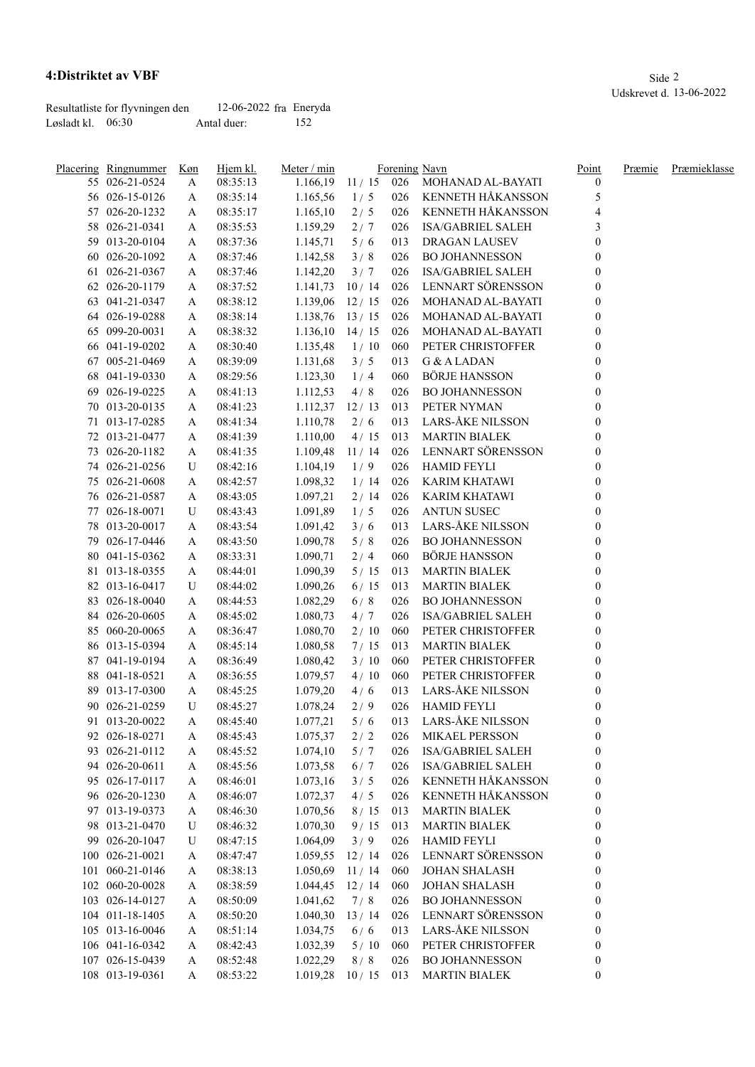## **4:Distriktet av VBF** Side 2

|                   | Resultatliste for flyvningen den | 12-06-2022 fra Eneryda |     |
|-------------------|----------------------------------|------------------------|-----|
| Løsladt kl. 06:30 |                                  | Antal duer:            | 152 |

| <u>Placering Ringnummer</u>      | Køn | Hjem kl. | Meter / min |             |     | Forening Navn            | Point            | Præmie | Præmieklasse |
|----------------------------------|-----|----------|-------------|-------------|-----|--------------------------|------------------|--------|--------------|
| 55 026-21-0524                   | A   | 08:35:13 | 1.166,19    | 11/15       | 026 | MOHANAD AL-BAYATI        | $\mathbf{0}$     |        |              |
| 56 026-15-0126                   | A   | 08:35:14 | 1.165,56    | 1/5         | 026 | KENNETH HÅKANSSON        | 5                |        |              |
| 57 026-20-1232                   | A   | 08:35:17 | 1.165,10    | 2/5         | 026 | KENNETH HÅKANSSON        |                  |        |              |
| 58 026-21-0341                   | A   | 08:35:53 | 1.159,29    | 2/7         | 026 | <b>ISA/GABRIEL SALEH</b> | 3                |        |              |
| 59 013-20-0104                   | A   | 08:37:36 | 1.145,71    | 5/6         | 013 | <b>DRAGAN LAUSEV</b>     | $\boldsymbol{0}$ |        |              |
| 60 026-20-1092                   | A   | 08:37:46 | 1.142,58    | 3/8         | 026 | <b>BO JOHANNESSON</b>    |                  |        |              |
| 61 026-21-0367                   | A   | 08:37:46 | 1.142,20    | 3/7         | 026 | <b>ISA/GABRIEL SALEH</b> | $\mathbf{0}$     |        |              |
| 62 026-20-1179                   | A   | 08:37:52 | 1.141,73    | 10/14       | 026 | LENNART SÖRENSSON        | $\theta$         |        |              |
| 63 041-21-0347                   | A   | 08:38:12 | 1.139,06    | 12/15       | 026 | MOHANAD AL-BAYATI        | $\theta$         |        |              |
| 64 026-19-0288                   | A   | 08:38:14 | 1.138,76    | 13/15       | 026 | <b>MOHANAD AL-BAYATI</b> | $\mathbf{0}$     |        |              |
| 65 099-20-0031                   | A   | 08:38:32 | 1.136,10    | 14/15       | 026 | MOHANAD AL-BAYATI        | $\boldsymbol{0}$ |        |              |
| 66 041-19-0202                   | A   | 08:30:40 | 1.135,48    | 1/10        | 060 | PETER CHRISTOFFER        | $\boldsymbol{0}$ |        |              |
| 67 005-21-0469                   | A   | 08:39:09 | 1.131,68    | 3/5         | 013 | G & A LADAN              | $\theta$         |        |              |
| 68 041-19-0330                   | A   | 08:29:56 | 1.123,30    | 1/4         | 060 | BÖRJE HANSSON            | $\boldsymbol{0}$ |        |              |
| 69 026-19-0225                   | A   | 08:41:13 | 1.112,53    | 4/8         | 026 | <b>BO JOHANNESSON</b>    | $\mathbf{0}$     |        |              |
| 70 013-20-0135                   | A   | 08:41:23 | 1.112,37    | 12/13       | 013 | PETER NYMAN              | $\mathbf{0}$     |        |              |
| 71 013-17-0285                   | A   | 08:41:34 | 1.110,78    | 2/6         | 013 | LARS-ÅKE NILSSON         | $\mathbf{0}$     |        |              |
| 72 013-21-0477                   | A   | 08:41:39 | 1.110,00    | 4/15        | 013 | <b>MARTIN BIALEK</b>     | 0                |        |              |
| 73 026-20-1182                   | A   | 08:41:35 | 1.109,48    | 11/14       | 026 | LENNART SÖRENSSON        | 0                |        |              |
| 74 026-21-0256                   | U   | 08:42:16 | 1.104,19    | 1/9         | 026 | <b>HAMID FEYLI</b>       | 0                |        |              |
| 75 026-21-0608                   | A   | 08:42:57 | 1.098,32    | 1/14        | 026 | <b>KARIM KHATAWI</b>     | $\theta$         |        |              |
| 76 026-21-0587                   | A   | 08:43:05 | 1.097,21    | 2/14        | 026 | <b>KARIM KHATAWI</b>     | 0                |        |              |
| 77 026-18-0071                   | U   | 08:43:43 | 1.091,89    | 1/5         | 026 | <b>ANTUN SUSEC</b>       | 0                |        |              |
| 78 013-20-0017                   | A   | 08:43:54 | 1.091,42    | 3/6         | 013 | <b>LARS-ÅKE NILSSON</b>  | 0                |        |              |
| 79 026-17-0446                   | A   | 08:43:50 | 1.090,78    | 5/8         | 026 | <b>BO JOHANNESSON</b>    | 0                |        |              |
| 80 041-15-0362                   | A   | 08:33:31 | 1.090,71    | 2/4         | 060 | <b>BÖRJE HANSSON</b>     | 0                |        |              |
| 81 013-18-0355                   | A   | 08:44:01 | 1.090,39    | 5/15        | 013 | <b>MARTIN BIALEK</b>     | 0                |        |              |
| 82 013-16-0417                   | U   | 08:44:02 | 1.090,26    | 6/15        | 013 | <b>MARTIN BIALEK</b>     | 0                |        |              |
| 83 026-18-0040                   | A   | 08:44:53 | 1.082,29    | 6/8         | 026 | <b>BO JOHANNESSON</b>    |                  |        |              |
| 84 026-20-0605                   |     | 08:45:02 | 1.080,73    | 4/7         | 026 | <b>ISA/GABRIEL SALEH</b> |                  |        |              |
| 85 060-20-0065                   | A   |          |             |             | 060 | PETER CHRISTOFFER        | 0                |        |              |
| 86 013-15-0394                   | A   | 08:36:47 | 1.080,70    | 2/10        | 013 | <b>MARTIN BIALEK</b>     | 0                |        |              |
|                                  | A   | 08:45:14 | 1.080,58    | 7/15        |     | PETER CHRISTOFFER        |                  |        |              |
| 87 041-19-0194<br>88 041-18-0521 | A   | 08:36:49 | 1.080,42    | 3/10        | 060 | PETER CHRISTOFFER        |                  |        |              |
|                                  | A   | 08:36:55 | 1.079,57    | 4/10        | 060 | LARS-ÅKE NILSSON         | 0                |        |              |
| 89 013-17-0300                   | A   | 08:45:25 | 1.079,20    | 4/6         | 013 |                          | 0                |        |              |
| 90 026-21-0259                   | U   | 08:45:27 | 1.078,24    | 2/9         | 026 | <b>HAMID FEYLI</b>       | $\boldsymbol{0}$ |        |              |
| 91 013-20-0022                   | A   | 08:45:40 | 1.077,21    | 5/6         | 013 | LARS-ÅKE NILSSON         | $\boldsymbol{0}$ |        |              |
| 92 026-18-0271                   | A   | 08:45:43 | 1.075,37    | 2/2         | 026 | MIKAEL PERSSON           | $\boldsymbol{0}$ |        |              |
| 93 026-21-0112                   | A   | 08:45:52 | 1.074,10    | 5/7         | 026 | <b>ISA/GABRIEL SALEH</b> | $\boldsymbol{0}$ |        |              |
| 94 026-20-0611                   | A   | 08:45:56 | 1.073,58    | 6/7         | 026 | <b>ISA/GABRIEL SALEH</b> | $\boldsymbol{0}$ |        |              |
| 95 026-17-0117                   | A   | 08:46:01 | 1.073,16    | 3/5         | 026 | KENNETH HÅKANSSON        | $\boldsymbol{0}$ |        |              |
| 96 026-20-1230                   | A   | 08:46:07 | 1.072,37    | 4/5         | 026 | KENNETH HÅKANSSON        | $\boldsymbol{0}$ |        |              |
| 97 013-19-0373                   | A   | 08:46:30 | 1.070,56    | 8/15        | 013 | <b>MARTIN BIALEK</b>     | $\boldsymbol{0}$ |        |              |
| 98 013-21-0470                   | U   | 08:46:32 | 1.070,30    | 9/15        | 013 | <b>MARTIN BIALEK</b>     | $\boldsymbol{0}$ |        |              |
| 99 026-20-1047                   | U   | 08:47:15 | 1.064,09    | 3/9         | 026 | <b>HAMID FEYLI</b>       | $\boldsymbol{0}$ |        |              |
| 100 026-21-0021                  | A   | 08:47:47 | 1.059,55    | 12/14       | 026 | LENNART SÖRENSSON        | $\boldsymbol{0}$ |        |              |
| 101 060-21-0146                  | A   | 08:38:13 | 1.050,69    | 11/14       | 060 | <b>JOHAN SHALASH</b>     | $\boldsymbol{0}$ |        |              |
| 102 060-20-0028                  | A   | 08:38:59 | 1.044,45    | 12/14       | 060 | <b>JOHAN SHALASH</b>     | $\boldsymbol{0}$ |        |              |
| 103 026-14-0127                  | A   | 08:50:09 | 1.041,62    | 7/8         | 026 | <b>BO JOHANNESSON</b>    | $\boldsymbol{0}$ |        |              |
| 104 011-18-1405                  | A   | 08:50:20 | 1.040,30    | 13/14       | 026 | LENNART SÖRENSSON        | 0                |        |              |
| 105 013-16-0046                  | A   | 08:51:14 | 1.034,75    | 6/6         | 013 | LARS-ÅKE NILSSON         | 0                |        |              |
| 106 041-16-0342                  | A   | 08:42:43 | 1.032,39    | 5/10        | 060 | PETER CHRISTOFFER        | $\boldsymbol{0}$ |        |              |
| 107 026-15-0439                  | A   | 08:52:48 | 1.022,29    | 8/8         | 026 | <b>BO JOHANNESSON</b>    | $\boldsymbol{0}$ |        |              |
| 108 013-19-0361                  | A   | 08:53:22 | 1.019,28    | $10/15$ 013 |     | <b>MARTIN BIALEK</b>     | $\boldsymbol{0}$ |        |              |

Udskrevet d. 13-06-2022